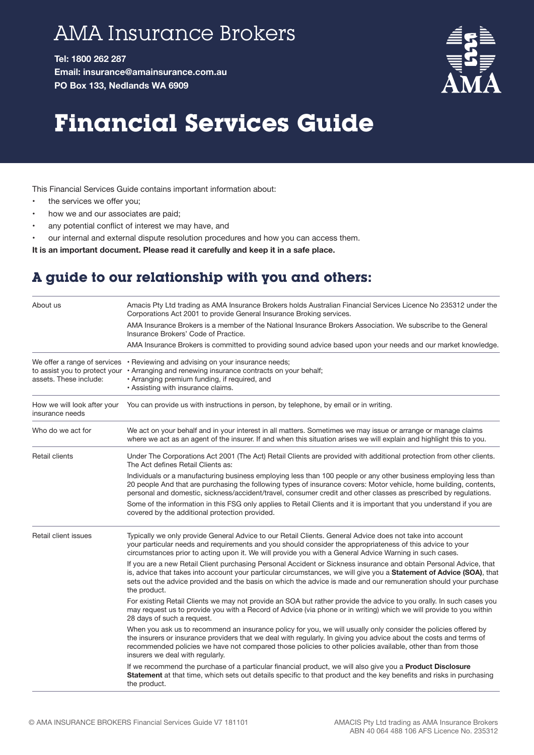## AMA Insurance Brokers

**Tel: 1800 262 287 Email: insurance@amainsurance.com.au PO Box 133, Nedlands WA 6909**



## **Financial Services Guide**

This Financial Services Guide contains important information about:

- the services we offer you;
- how we and our associates are paid;
- any potential conflict of interest we may have, and
- our internal and external dispute resolution procedures and how you can access them.

**It is an important document. Please read it carefully and keep it in a safe place.**

## **A guide to our relationship with you and others:**

| About us                                       | Amacis Pty Ltd trading as AMA Insurance Brokers holds Australian Financial Services Licence No 235312 under the<br>Corporations Act 2001 to provide General Insurance Broking services.                                                                                                                                                                                                  |
|------------------------------------------------|------------------------------------------------------------------------------------------------------------------------------------------------------------------------------------------------------------------------------------------------------------------------------------------------------------------------------------------------------------------------------------------|
|                                                | AMA Insurance Brokers is a member of the National Insurance Brokers Association. We subscribe to the General<br>Insurance Brokers' Code of Practice.                                                                                                                                                                                                                                     |
|                                                | AMA Insurance Brokers is committed to providing sound advice based upon your needs and our market knowledge.                                                                                                                                                                                                                                                                             |
| assets. These include:                         | We offer a range of services • Reviewing and advising on your insurance needs;<br>to assist you to protect your • Arranging and renewing insurance contracts on your behalf;<br>• Arranging premium funding, if required, and<br>• Assisting with insurance claims.                                                                                                                      |
| How we will look after your<br>insurance needs | You can provide us with instructions in person, by telephone, by email or in writing.                                                                                                                                                                                                                                                                                                    |
| Who do we act for                              | We act on your behalf and in your interest in all matters. Sometimes we may issue or arrange or manage claims<br>where we act as an agent of the insurer. If and when this situation arises we will explain and highlight this to you.                                                                                                                                                   |
| Retail clients                                 | Under The Corporations Act 2001 (The Act) Retail Clients are provided with additional protection from other clients.<br>The Act defines Retail Clients as:                                                                                                                                                                                                                               |
|                                                | Individuals or a manufacturing business employing less than 100 people or any other business employing less than<br>20 people And that are purchasing the following types of insurance covers: Motor vehicle, home building, contents,<br>personal and domestic, sickness/accident/travel, consumer credit and other classes as prescribed by regulations.                               |
|                                                | Some of the information in this FSG only applies to Retail Clients and it is important that you understand if you are<br>covered by the additional protection provided.                                                                                                                                                                                                                  |
| Retail client issues                           | Typically we only provide General Advice to our Retail Clients. General Advice does not take into account<br>your particular needs and requirements and you should consider the appropriateness of this advice to your<br>circumstances prior to acting upon it. We will provide you with a General Advice Warning in such cases.                                                        |
|                                                | If you are a new Retail Client purchasing Personal Accident or Sickness insurance and obtain Personal Advice, that<br>is, advice that takes into account your particular circumstances, we will give you a Statement of Advice (SOA), that<br>sets out the advice provided and the basis on which the advice is made and our remuneration should your purchase<br>the product.           |
|                                                | For existing Retail Clients we may not provide an SOA but rather provide the advice to you orally. In such cases you<br>may request us to provide you with a Record of Advice (via phone or in writing) which we will provide to you within<br>28 days of such a request.                                                                                                                |
|                                                | When you ask us to recommend an insurance policy for you, we will usually only consider the policies offered by<br>the insurers or insurance providers that we deal with regularly. In giving you advice about the costs and terms of<br>recommended policies we have not compared those policies to other policies available, other than from those<br>insurers we deal with regularly. |
|                                                | If we recommend the purchase of a particular financial product, we will also give you a Product Disclosure<br>Statement at that time, which sets out details specific to that product and the key benefits and risks in purchasing<br>the product.                                                                                                                                       |